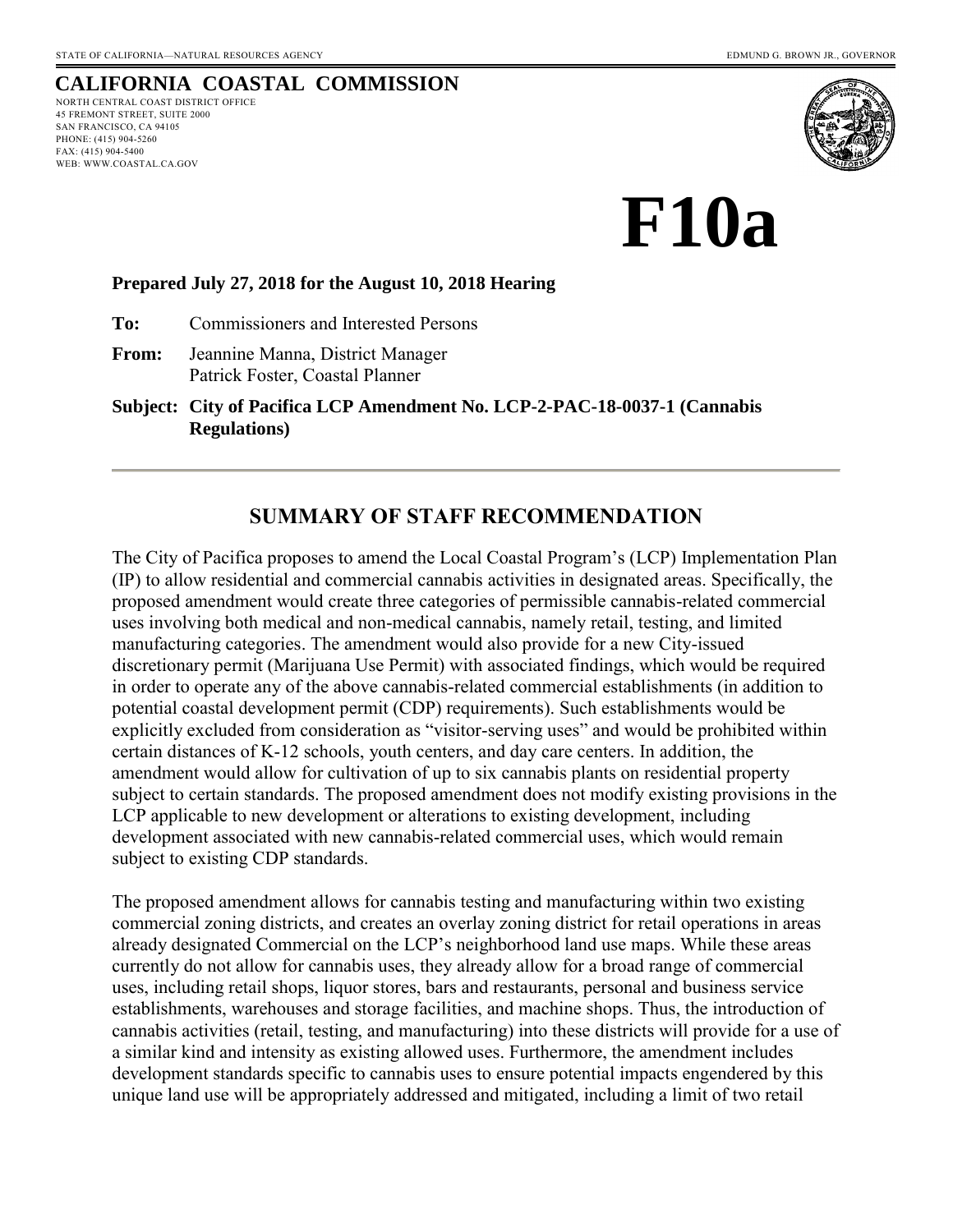# **CALIFORNIA COASTAL COMMISSION**

NORTH CENTRAL COAST DISTRICT OFFICE 45 FREMONT STREET, SUITE 2000 SAN FRANCISCO, CA 94105 PHONE: (415) 904-5260 FAX: (415) 904-5400 WEB: WWW.COASTAL.CA.GOV



**F10a** 

#### **Prepared July 27, 2018 for the August 10, 2018 Hearing**

**To:** Commissioners and Interested Persons

**From:** Jeannine Manna, District Manager Patrick Foster, Coastal Planner

**Subject: City of Pacifica LCP Amendment No. LCP-2-PAC-18-0037-1 (Cannabis Regulations)**

## **SUMMARY OF STAFF RECOMMENDATION**

The City of Pacifica proposes to amend the Local Coastal Program's (LCP) Implementation Plan (IP) to allow residential and commercial cannabis activities in designated areas. Specifically, the proposed amendment would create three categories of permissible cannabis-related commercial uses involving both medical and non-medical cannabis, namely retail, testing, and limited manufacturing categories. The amendment would also provide for a new City-issued discretionary permit (Marijuana Use Permit) with associated findings, which would be required in order to operate any of the above cannabis-related commercial establishments (in addition to potential coastal development permit (CDP) requirements). Such establishments would be explicitly excluded from consideration as "visitor-serving uses" and would be prohibited within certain distances of K-12 schools, youth centers, and day care centers. In addition, the amendment would allow for cultivation of up to six cannabis plants on residential property subject to certain standards. The proposed amendment does not modify existing provisions in the LCP applicable to new development or alterations to existing development, including development associated with new cannabis-related commercial uses, which would remain subject to existing CDP standards.

The proposed amendment allows for cannabis testing and manufacturing within two existing commercial zoning districts, and creates an overlay zoning district for retail operations in areas already designated Commercial on the LCP's neighborhood land use maps. While these areas currently do not allow for cannabis uses, they already allow for a broad range of commercial uses, including retail shops, liquor stores, bars and restaurants, personal and business service establishments, warehouses and storage facilities, and machine shops. Thus, the introduction of cannabis activities (retail, testing, and manufacturing) into these districts will provide for a use of a similar kind and intensity as existing allowed uses. Furthermore, the amendment includes development standards specific to cannabis uses to ensure potential impacts engendered by this unique land use will be appropriately addressed and mitigated, including a limit of two retail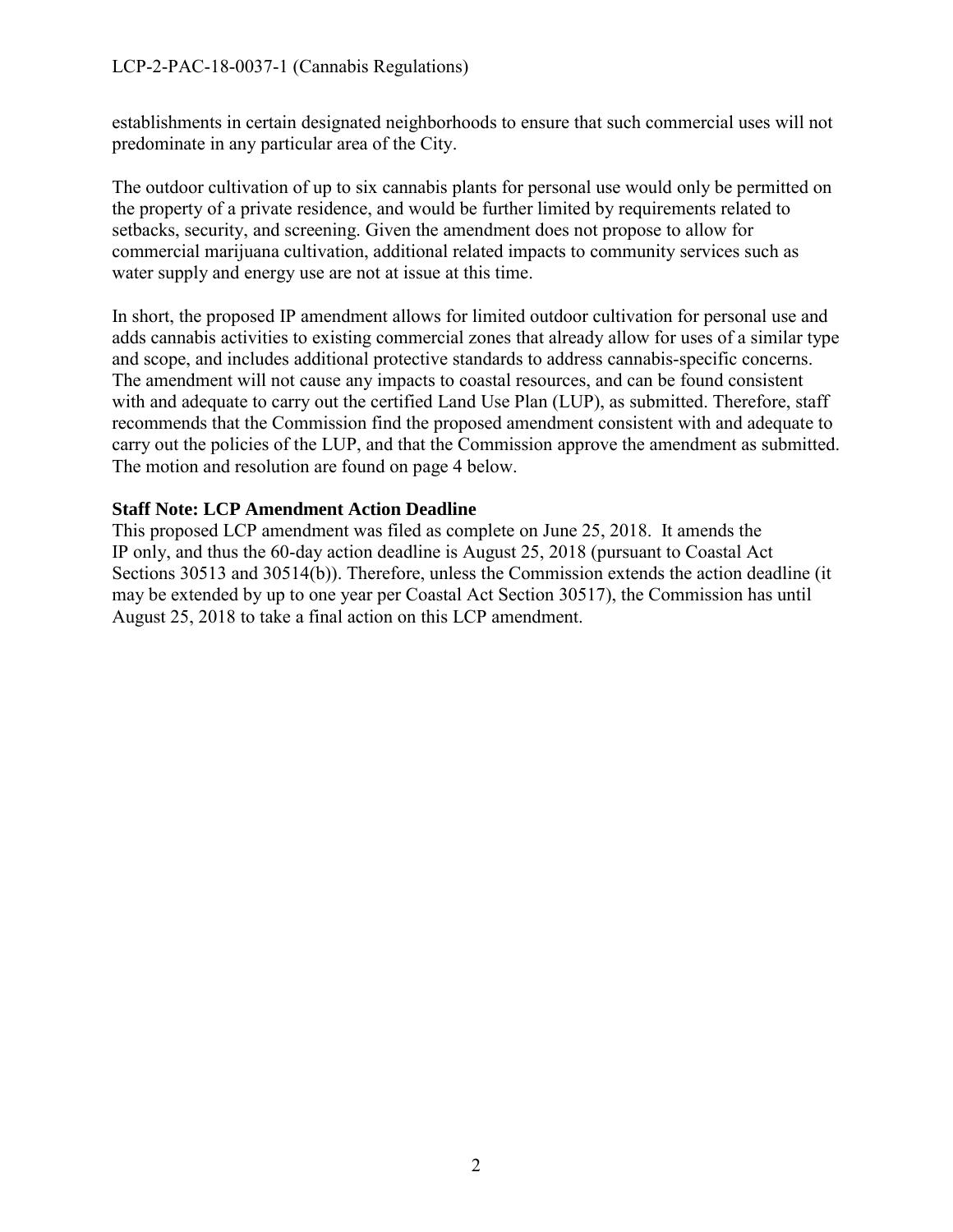establishments in certain designated neighborhoods to ensure that such commercial uses will not predominate in any particular area of the City.

The outdoor cultivation of up to six cannabis plants for personal use would only be permitted on the property of a private residence, and would be further limited by requirements related to setbacks, security, and screening. Given the amendment does not propose to allow for commercial marijuana cultivation, additional related impacts to community services such as water supply and energy use are not at issue at this time.

In short, the proposed IP amendment allows for limited outdoor cultivation for personal use and adds cannabis activities to existing commercial zones that already allow for uses of a similar type and scope, and includes additional protective standards to address cannabis-specific concerns. The amendment will not cause any impacts to coastal resources, and can be found consistent with and adequate to carry out the certified Land Use Plan (LUP), as submitted. Therefore, staff recommends that the Commission find the proposed amendment consistent with and adequate to carry out the policies of the LUP, and that the Commission approve the amendment as submitted. The motion and resolution are found on page 4 below.

#### **Staff Note: LCP Amendment Action Deadline**

This proposed LCP amendment was filed as complete on June 25, 2018. It amends the IP only, and thus the 60-day action deadline is August 25, 2018 (pursuant to Coastal Act Sections 30513 and 30514(b)). Therefore, unless the Commission extends the action deadline (it may be extended by up to one year per Coastal Act Section 30517), the Commission has until August 25, 2018 to take a final action on this LCP amendment.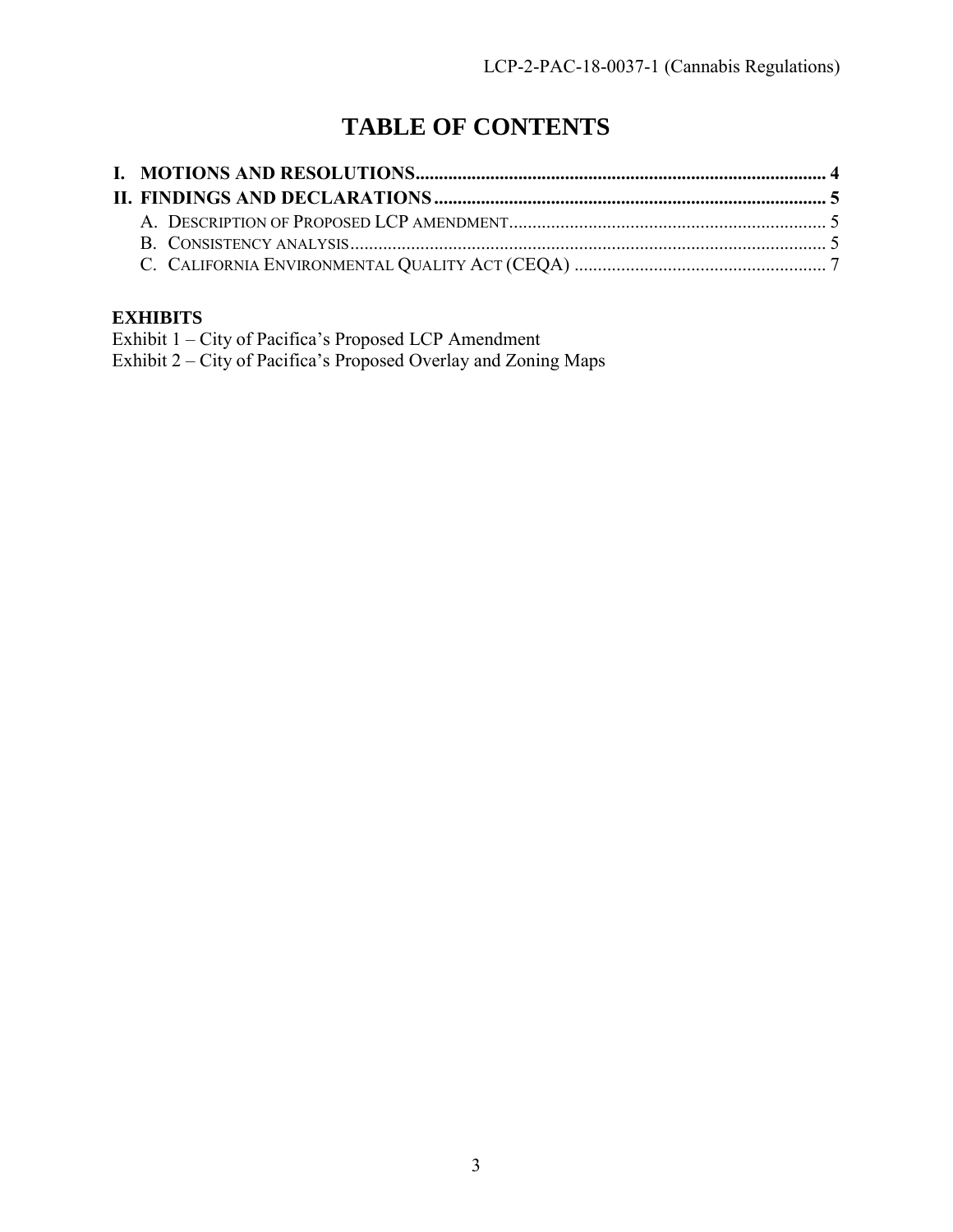## **TABLE OF CONTENTS**

## **EXHIBITS**

Exhibit 1 – City of Pacifica's Proposed LCP Amendment Exhibit 2 – City of Pacifica's Proposed Overlay and Zoning Maps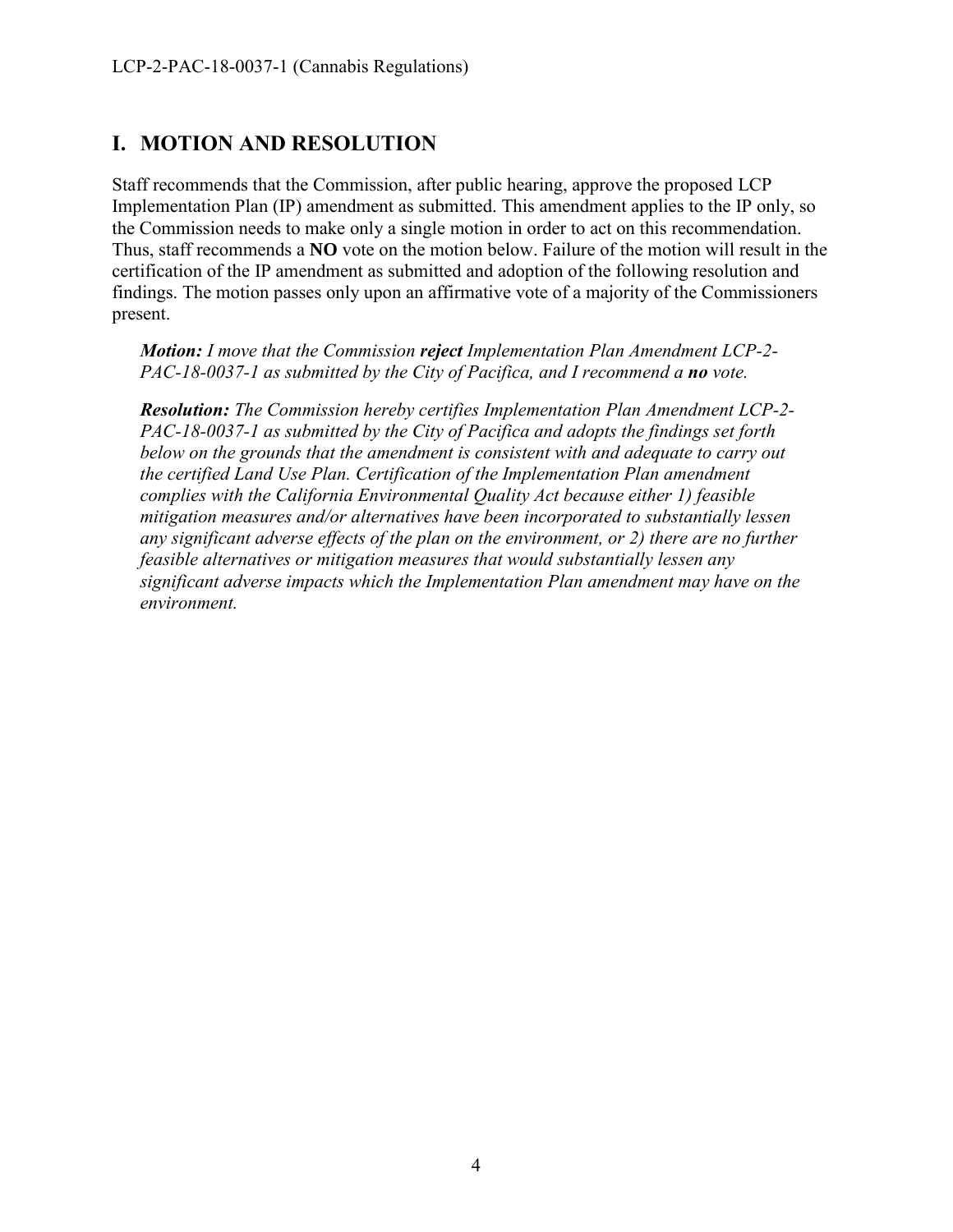## <span id="page-3-0"></span>**I. MOTION AND RESOLUTION**

Staff recommends that the Commission, after public hearing, approve the proposed LCP Implementation Plan (IP) amendment as submitted. This amendment applies to the IP only, so the Commission needs to make only a single motion in order to act on this recommendation. Thus, staff recommends a **NO** vote on the motion below. Failure of the motion will result in the certification of the IP amendment as submitted and adoption of the following resolution and findings. The motion passes only upon an affirmative vote of a majority of the Commissioners present.

*Motion: I move that the Commission reject Implementation Plan Amendment LCP-2- PAC-18-0037-1 as submitted by the City of Pacifica, and I recommend a no vote.* 

<span id="page-3-1"></span>*Resolution: The Commission hereby certifies Implementation Plan Amendment LCP-2- PAC-18-0037-1 as submitted by the City of Pacifica and adopts the findings set forth below on the grounds that the amendment is consistent with and adequate to carry out the certified Land Use Plan. Certification of the Implementation Plan amendment complies with the California Environmental Quality Act because either 1) feasible mitigation measures and/or alternatives have been incorporated to substantially lessen any significant adverse effects of the plan on the environment, or 2) there are no further feasible alternatives or mitigation measures that would substantially lessen any significant adverse impacts which the Implementation Plan amendment may have on the environment.*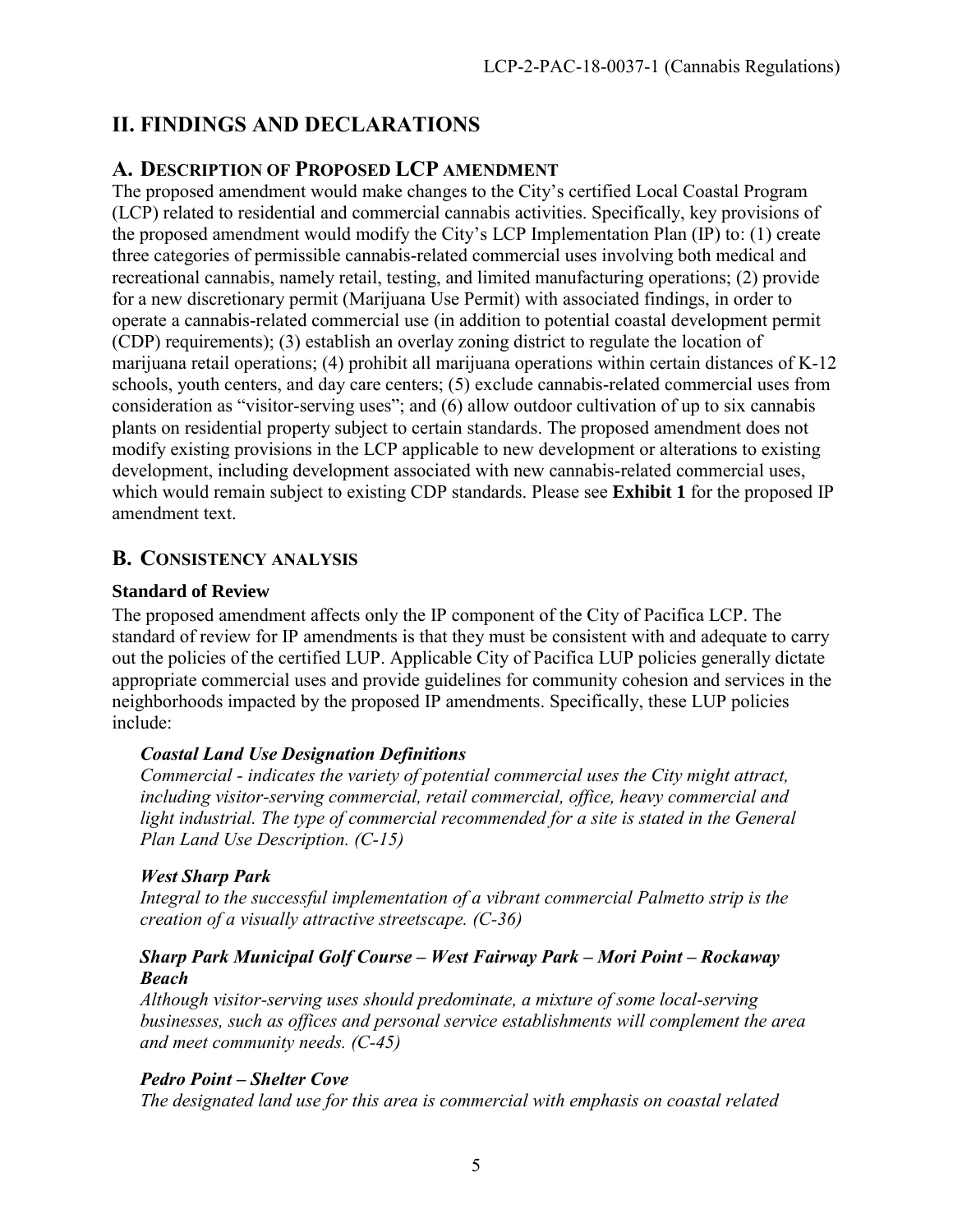## <span id="page-4-0"></span>**II. FINDINGS AND DECLARATIONS**

## **A. DESCRIPTION OF PROPOSED LCP AMENDMENT**

The proposed amendment would make changes to the City's certified Local Coastal Program (LCP) related to residential and commercial cannabis activities. Specifically, key provisions of the proposed amendment would modify the City's LCP Implementation Plan (IP) to: (1) create three categories of permissible cannabis-related commercial uses involving both medical and recreational cannabis, namely retail, testing, and limited manufacturing operations; (2) provide for a new discretionary permit (Marijuana Use Permit) with associated findings, in order to operate a cannabis-related commercial use (in addition to potential coastal development permit (CDP) requirements); (3) establish an overlay zoning district to regulate the location of marijuana retail operations; (4) prohibit all marijuana operations within certain distances of K-12 schools, youth centers, and day care centers; (5) exclude cannabis-related commercial uses from consideration as "visitor-serving uses"; and (6) allow outdoor cultivation of up to six cannabis plants on residential property subject to certain standards. The proposed amendment does not modify existing provisions in the LCP applicable to new development or alterations to existing development, including development associated with new cannabis-related commercial uses, which would remain subject to existing CDP standards. Please see **Exhibit 1** for the proposed IP amendment text.

## <span id="page-4-1"></span>**B. CONSISTENCY ANALYSIS**

## **Standard of Review**

The proposed amendment affects only the IP component of the City of Pacifica LCP. The standard of review for IP amendments is that they must be consistent with and adequate to carry out the policies of the certified LUP. Applicable City of Pacifica LUP policies generally dictate appropriate commercial uses and provide guidelines for community cohesion and services in the neighborhoods impacted by the proposed IP amendments. Specifically, these LUP policies include:

## *Coastal Land Use Designation Definitions*

*Commercial - indicates the variety of potential commercial uses the City might attract, including visitor-serving commercial, retail commercial, office, heavy commercial and*  light industrial. The type of commercial recommended for a site is stated in the General *Plan Land Use Description. (C-15)* 

#### *West Sharp Park*

*Integral to the successful implementation of a vibrant commercial Palmetto strip is the creation of a visually attractive streetscape. (C-36)* 

#### *Sharp Park Municipal Golf Course – West Fairway Park – Mori Point – Rockaway Beach*

*Although visitor-serving uses should predominate, a mixture of some local-serving businesses, such as offices and personal service establishments will complement the area and meet community needs. (C-45)* 

## *Pedro Point – Shelter Cove*

*The designated land use for this area is commercial with emphasis on coastal related*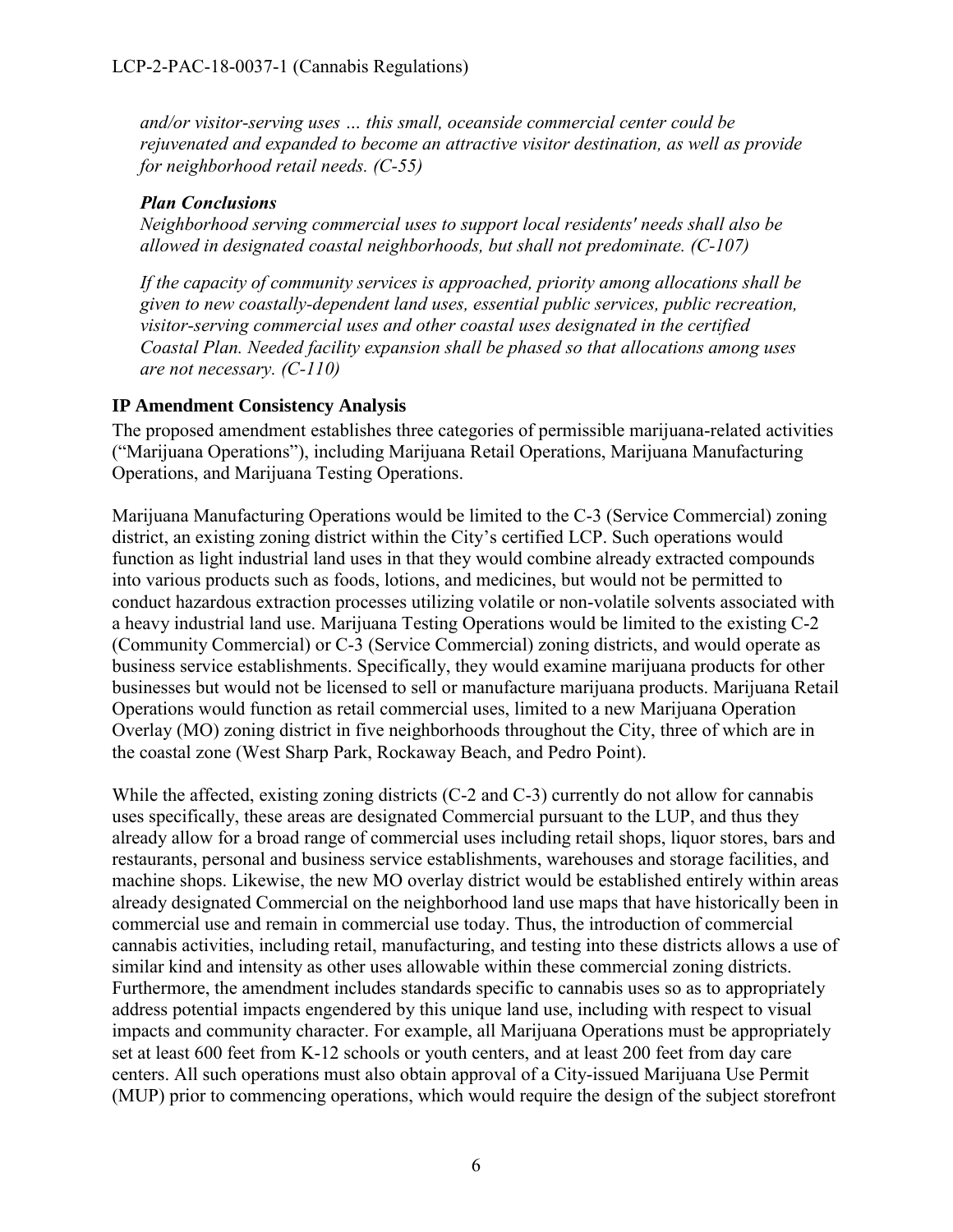*and/or visitor-serving uses … this small, oceanside commercial center could be rejuvenated and expanded to become an attractive visitor destination, as well as provide for neighborhood retail needs. (C-55)* 

## *Plan Conclusions*

*Neighborhood serving commercial uses to support local residents' needs shall also be allowed in designated coastal neighborhoods, but shall not predominate. (C-107)* 

*If the capacity of community services is approached, priority among allocations shall be given to new coastally-dependent land uses, essential public services, public recreation, visitor-serving commercial uses and other coastal uses designated in the certified Coastal Plan. Needed facility expansion shall be phased so that allocations among uses are not necessary. (C-110)* 

## **IP Amendment Consistency Analysis**

The proposed amendment establishes three categories of permissible marijuana-related activities ("Marijuana Operations"), including Marijuana Retail Operations, Marijuana Manufacturing Operations, and Marijuana Testing Operations.

Marijuana Manufacturing Operations would be limited to the C-3 (Service Commercial) zoning district, an existing zoning district within the City's certified LCP. Such operations would function as light industrial land uses in that they would combine already extracted compounds into various products such as foods, lotions, and medicines, but would not be permitted to conduct hazardous extraction processes utilizing volatile or non-volatile solvents associated with a heavy industrial land use. Marijuana Testing Operations would be limited to the existing C-2 (Community Commercial) or C-3 (Service Commercial) zoning districts, and would operate as business service establishments. Specifically, they would examine marijuana products for other businesses but would not be licensed to sell or manufacture marijuana products. Marijuana Retail Operations would function as retail commercial uses, limited to a new Marijuana Operation Overlay (MO) zoning district in five neighborhoods throughout the City, three of which are in the coastal zone (West Sharp Park, Rockaway Beach, and Pedro Point).

While the affected, existing zoning districts (C-2 and C-3) currently do not allow for cannabis uses specifically, these areas are designated Commercial pursuant to the LUP, and thus they already allow for a broad range of commercial uses including retail shops, liquor stores, bars and restaurants, personal and business service establishments, warehouses and storage facilities, and machine shops. Likewise, the new MO overlay district would be established entirely within areas already designated Commercial on the neighborhood land use maps that have historically been in commercial use and remain in commercial use today. Thus, the introduction of commercial cannabis activities, including retail, manufacturing, and testing into these districts allows a use of similar kind and intensity as other uses allowable within these commercial zoning districts. Furthermore, the amendment includes standards specific to cannabis uses so as to appropriately address potential impacts engendered by this unique land use, including with respect to visual impacts and community character. For example, all Marijuana Operations must be appropriately set at least 600 feet from K-12 schools or youth centers, and at least 200 feet from day care centers. All such operations must also obtain approval of a City-issued Marijuana Use Permit (MUP) prior to commencing operations, which would require the design of the subject storefront